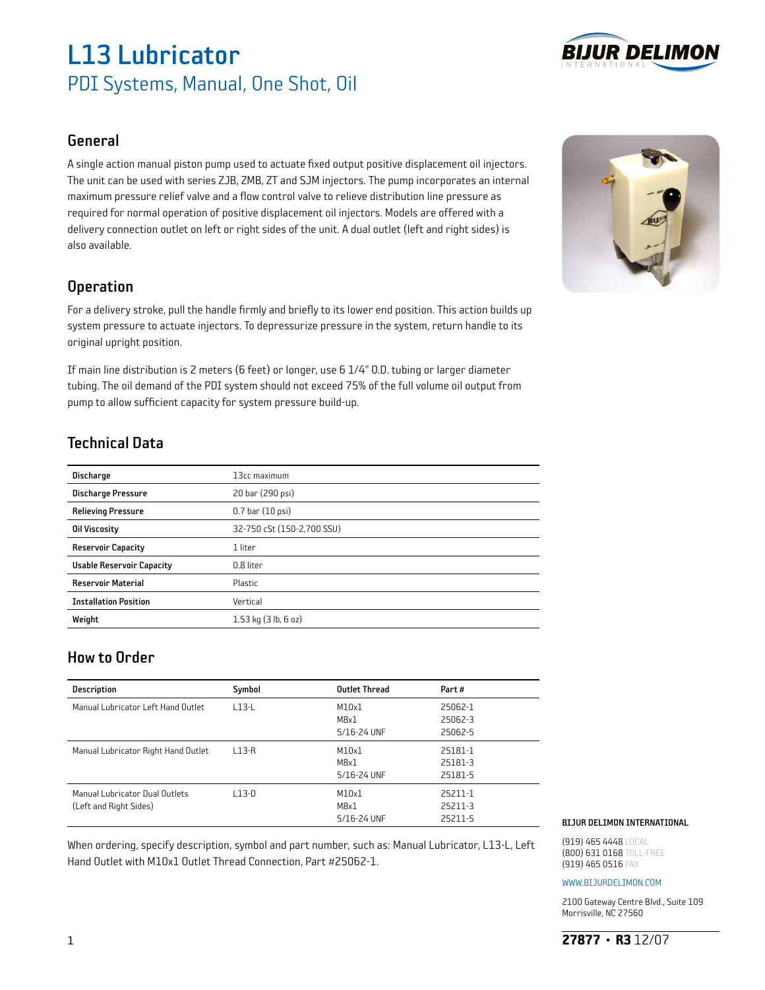# L13 Lubricator PDI Systems, Manual, One Shot, Oil



### General

A single action manual piston pump used to actuate fixed output positive displacement oil injectors. The unit can be used with series ZJB, ZMB, ZT and SJM injectors. The pump incorporates an internal maximum pressure relief valve and a flow control valve to relieve distribution line pressure as required for normal operation of positive displacement oil injectors. Models are offered with a delivery connection outlet on left or right sides of the unit. A dual outlet (left and right sides) is also available.

### **Operation**

For a delivery stroke, pull the handle firmly and briefly to its lower end position. This action builds up system pressure to actuate injectors. To depressurize pressure in the system, return handle to its original upright position.

If main line distribution is 2 meters (6 feet) or longer, use 6 1/4" O.D. tubing or larger diameter tubing. The oil demand of the PDI system should not exceed 75% of the full volume oil output from pump to allow sufficient capacity for system pressure build-up.

## Technical Data

| <b>Discharge</b>                 | 13cc maximum               |
|----------------------------------|----------------------------|
| <b>Discharge Pressure</b>        | 20 bar (290 psi)           |
| <b>Relieving Pressure</b>        | $0.7$ bar $(10$ psi)       |
| <b>Oil Viscosity</b>             | 32-750 cSt (150-2,700 SSU) |
| <b>Reservoir Capacity</b>        | 1 liter                    |
| <b>Usable Reservoir Capacity</b> | 0.8 liter                  |
| <b>Reservoir Material</b>        | Plastic                    |
| <b>Installation Position</b>     | Vertical                   |
| Weight                           | $1.53$ kg $(3$ lb, $6$ oz) |
|                                  |                            |

### How to Order

| <b>Description</b>                                       | Symbol  | <b>Outlet Thread</b>         | Part#                         |
|----------------------------------------------------------|---------|------------------------------|-------------------------------|
| Manual Lubricator Left Hand Outlet                       | $L13-L$ | M10x1<br>M8x1<br>5/16-24 UNF | 25062-1<br>25062-3<br>25062-5 |
| Manual Lubricator Right Hand Outlet                      | $L13-R$ | M10x1<br>M8x1<br>5/16-24 UNF | 25181-1<br>25181-3<br>25181-5 |
| Manual Lubricator Dual Outlets<br>(Left and Right Sides) | $L13-D$ | M10x1<br>M8x1<br>5/16-24 UNF | 25211-1<br>25211-3<br>25211-5 |

When ordering, specify description, symbol and part number, such as: Manual Lubricator, L13-L, Left Hand Outlet with M10x1 Outlet Thread Connection, Part #25062-1.

#### BIJUR DELIMON INTERNATIONAL

(919) 465 4448 LOCAL (800) 631 0168 TOLL-FREE (919) 465 0516 FAX

#### www.bijurdelimon.coM

2100 Gateway Centre Blvd., Suite 109 Morrisville, NC 27560